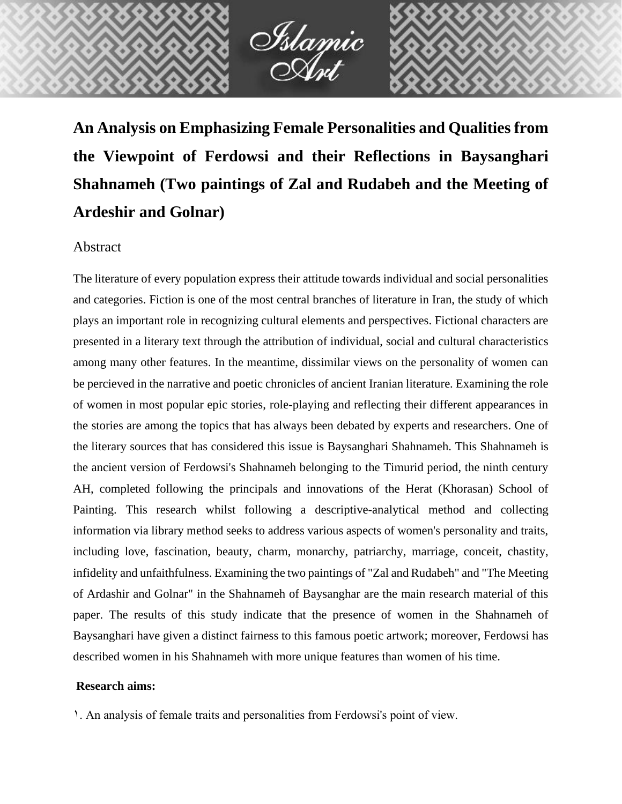

**An Analysis on Emphasizing Female Personalities and Qualities from the Viewpoint of Ferdowsi and their Reflections in Baysanghari Shahnameh (Two paintings of Zal and Rudabeh and the Meeting of Ardeshir and Golnar)**

# Abstract

The literature of every population express their attitude towards individual and social personalities and categories. Fiction is one of the most central branches of literature in Iran, the study of which plays an important role in recognizing cultural elements and perspectives. Fictional characters are presented in a literary text through the attribution of individual, social and cultural characteristics among many other features. In the meantime, dissimilar views on the personality of women can be percieved in the narrative and poetic chronicles of ancient Iranian literature. Examining the role of women in most popular epic stories, role-playing and reflecting their different appearances in the stories are among the topics that has always been debated by experts and researchers. One of the literary sources that has considered this issue is Baysanghari Shahnameh. This Shahnameh is the ancient version of Ferdowsi's Shahnameh belonging to the Timurid period, the ninth century AH, completed following the principals and innovations of the Herat (Khorasan) School of Painting. This research whilst following a descriptive-analytical method and collecting information via library method seeks to address various aspects of women's personality and traits, including love, fascination, beauty, charm, monarchy, patriarchy, marriage, conceit, chastity, infidelity and unfaithfulness. Examining the two paintings of "Zal and Rudabeh" and "The Meeting of Ardashir and Golnar" in the Shahnameh of Baysanghar are the main research material of this paper. The results of this study indicate that the presence of women in the Shahnameh of Baysanghari have given a distinct fairness to this famous poetic artwork; moreover, Ferdowsi has described women in his Shahnameh with more unique features than women of his time.

## **Research aims:**

1. An analysis of female traits and personalities from Ferdowsi's point of view.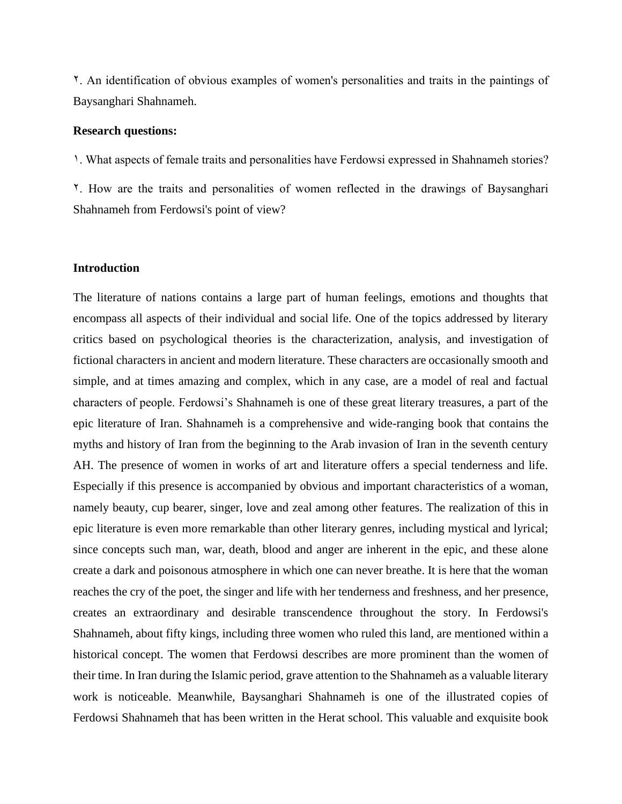2. An identification of obvious examples of women's personalities and traits in the paintings of Baysanghari Shahnameh.

#### **Research questions:**

1. What aspects of female traits and personalities have Ferdowsi expressed in Shahnameh stories? 2. How are the traits and personalities of women reflected in the drawings of Baysanghari Shahnameh from Ferdowsi's point of view?

#### **Introduction**

The literature of nations contains a large part of human feelings, emotions and thoughts that encompass all aspects of their individual and social life. One of the topics addressed by literary critics based on psychological theories is the characterization, analysis, and investigation of fictional characters in ancient and modern literature. These characters are occasionally smooth and simple, and at times amazing and complex, which in any case, are a model of real and factual characters of people. Ferdowsi's Shahnameh is one of these great literary treasures, a part of the epic literature of Iran. Shahnameh is a comprehensive and wide-ranging book that contains the myths and history of Iran from the beginning to the Arab invasion of Iran in the seventh century AH. The presence of women in works of art and literature offers a special tenderness and life. Especially if this presence is accompanied by obvious and important characteristics of a woman, namely beauty, cup bearer, singer, love and zeal among other features. The realization of this in epic literature is even more remarkable than other literary genres, including mystical and lyrical; since concepts such man, war, death, blood and anger are inherent in the epic, and these alone create a dark and poisonous atmosphere in which one can never breathe. It is here that the woman reaches the cry of the poet, the singer and life with her tenderness and freshness, and her presence, creates an extraordinary and desirable transcendence throughout the story. In Ferdowsi's Shahnameh, about fifty kings, including three women who ruled this land, are mentioned within a historical concept. The women that Ferdowsi describes are more prominent than the women of their time. In Iran during the Islamic period, grave attention to the Shahnameh as a valuable literary work is noticeable. Meanwhile, Baysanghari Shahnameh is one of the illustrated copies of Ferdowsi Shahnameh that has been written in the Herat school. This valuable and exquisite book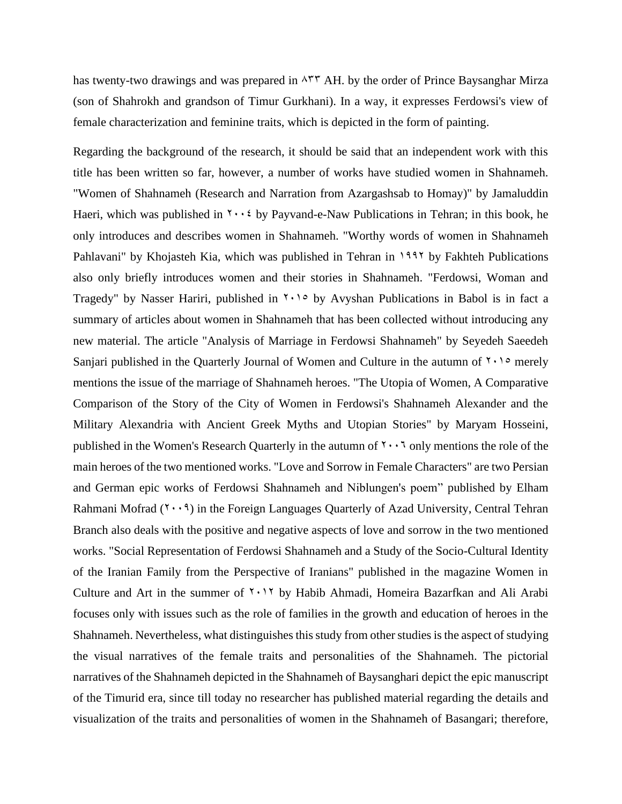has twenty-two drawings and was prepared in  $\lambda$ <sup> $\uparrow\uparrow$ </sup> AH. by the order of Prince Baysanghar Mirza (son of Shahrokh and grandson of Timur Gurkhani). In a way, it expresses Ferdowsi's view of female characterization and feminine traits, which is depicted in the form of painting.

Regarding the background of the research, it should be said that an independent work with this title has been written so far, however, a number of works have studied women in Shahnameh. "Women of Shahnameh (Research and Narration from Azargashsab to Homay)" by Jamaluddin Haeri, which was published in  $\cdots$  by Payvand-e-Naw Publications in Tehran; in this book, he only introduces and describes women in Shahnameh. "Worthy words of women in Shahnameh Pahlavani" by Khojasteh Kia, which was published in Tehran in 1997 by Fakhteh Publications also only briefly introduces women and their stories in Shahnameh. "Ferdowsi, Woman and Tragedy" by Nasser Hariri, published in  $\gamma \rightarrow \rho$  by Avyshan Publications in Babol is in fact a summary of articles about women in Shahnameh that has been collected without introducing any new material. The article "Analysis of Marriage in Ferdowsi Shahnameh" by Seyedeh Saeedeh Sanjari published in the Quarterly Journal of Women and Culture in the autumn of  $\gamma \cdot \gamma$  merely mentions the issue of the marriage of Shahnameh heroes. "The Utopia of Women, A Comparative Comparison of the Story of the City of Women in Ferdowsi's Shahnameh Alexander and the Military Alexandria with Ancient Greek Myths and Utopian Stories" by Maryam Hosseini, published in the Women's Research Quarterly in the autumn of  $\gamma \cdot \gamma$  only mentions the role of the main heroes of the two mentioned works. "Love and Sorrow in Female Characters" are two Persian and German epic works of Ferdowsi Shahnameh and Niblungen's poem" published by Elham Rahmani Mofrad  $(1 \cdot \cdot 9)$  in the Foreign Languages Quarterly of Azad University, Central Tehran Branch also deals with the positive and negative aspects of love and sorrow in the two mentioned works. "Social Representation of Ferdowsi Shahnameh and a Study of the Socio-Cultural Identity of the Iranian Family from the Perspective of Iranians" published in the magazine Women in Culture and Art in the summer of  $\gamma \cdot \gamma$  by Habib Ahmadi, Homeira Bazarfkan and Ali Arabi focuses only with issues such as the role of families in the growth and education of heroes in the Shahnameh. Nevertheless, what distinguishes this study from other studies is the aspect of studying the visual narratives of the female traits and personalities of the Shahnameh. The pictorial narratives of the Shahnameh depicted in the Shahnameh of Baysanghari depict the epic manuscript of the Timurid era, since till today no researcher has published material regarding the details and visualization of the traits and personalities of women in the Shahnameh of Basangari; therefore,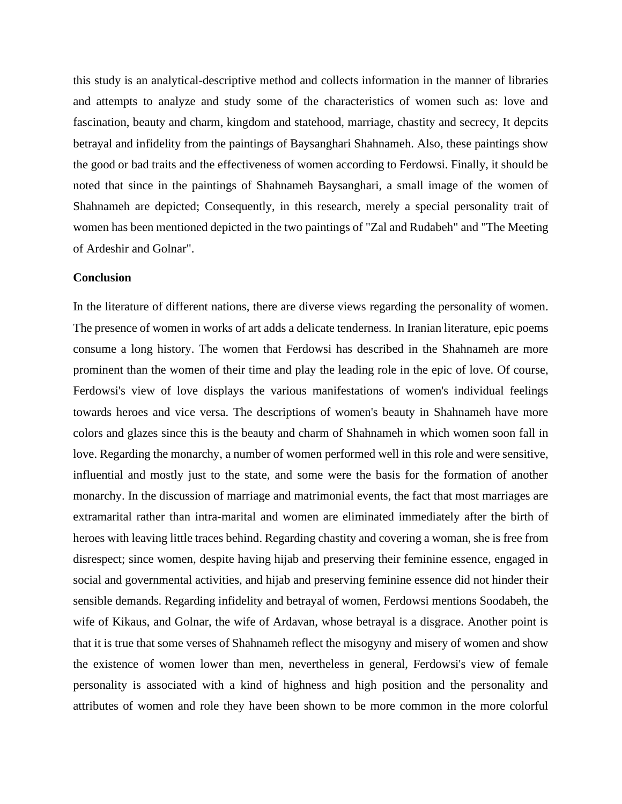this study is an analytical-descriptive method and collects information in the manner of libraries and attempts to analyze and study some of the characteristics of women such as: love and fascination, beauty and charm, kingdom and statehood, marriage, chastity and secrecy, It depcits betrayal and infidelity from the paintings of Baysanghari Shahnameh. Also, these paintings show the good or bad traits and the effectiveness of women according to Ferdowsi. Finally, it should be noted that since in the paintings of Shahnameh Baysanghari, a small image of the women of Shahnameh are depicted; Consequently, in this research, merely a special personality trait of women has been mentioned depicted in the two paintings of "Zal and Rudabeh" and "The Meeting of Ardeshir and Golnar".

#### **Conclusion**

In the literature of different nations, there are diverse views regarding the personality of women. The presence of women in works of art adds a delicate tenderness. In Iranian literature, epic poems consume a long history. The women that Ferdowsi has described in the Shahnameh are more prominent than the women of their time and play the leading role in the epic of love. Of course, Ferdowsi's view of love displays the various manifestations of women's individual feelings towards heroes and vice versa. The descriptions of women's beauty in Shahnameh have more colors and glazes since this is the beauty and charm of Shahnameh in which women soon fall in love. Regarding the monarchy, a number of women performed well in this role and were sensitive, influential and mostly just to the state, and some were the basis for the formation of another monarchy. In the discussion of marriage and matrimonial events, the fact that most marriages are extramarital rather than intra-marital and women are eliminated immediately after the birth of heroes with leaving little traces behind. Regarding chastity and covering a woman, she is free from disrespect; since women, despite having hijab and preserving their feminine essence, engaged in social and governmental activities, and hijab and preserving feminine essence did not hinder their sensible demands. Regarding infidelity and betrayal of women, Ferdowsi mentions Soodabeh, the wife of Kikaus, and Golnar, the wife of Ardavan, whose betrayal is a disgrace. Another point is that it is true that some verses of Shahnameh reflect the misogyny and misery of women and show the existence of women lower than men, nevertheless in general, Ferdowsi's view of female personality is associated with a kind of highness and high position and the personality and attributes of women and role they have been shown to be more common in the more colorful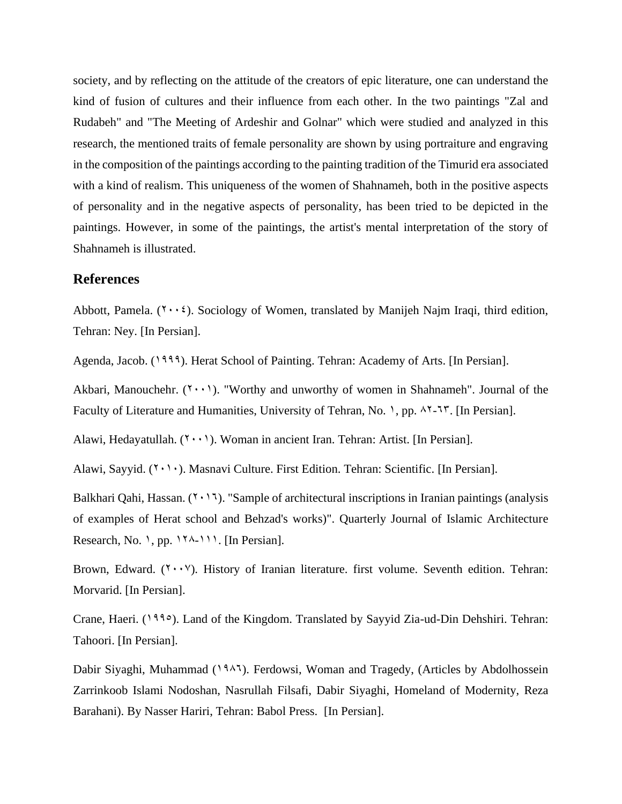society, and by reflecting on the attitude of the creators of epic literature, one can understand the kind of fusion of cultures and their influence from each other. In the two paintings "Zal and Rudabeh" and "The Meeting of Ardeshir and Golnar" which were studied and analyzed in this research, the mentioned traits of female personality are shown by using portraiture and engraving in the composition of the paintings according to the painting tradition of the Timurid era associated with a kind of realism. This uniqueness of the women of Shahnameh, both in the positive aspects of personality and in the negative aspects of personality, has been tried to be depicted in the paintings. However, in some of the paintings, the artist's mental interpretation of the story of Shahnameh is illustrated.

### **References**

Abbott, Pamela.  $(Y \cdot \cdot i)$ . Sociology of Women, translated by Manijeh Najm Iraqi, third edition, Tehran: Ney. [In Persian].

Agenda, Jacob. (1999). Herat School of Painting. Tehran: Academy of Arts. [In Persian].

Akbari, Manouchehr.  $(1 \cdot \cdot)$ . "Worthy and unworthy of women in Shahnameh". Journal of the Faculty of Literature and Humanities, University of Tehran, No. 1, pp.  $18-17$ . [In Persian].

Alawi, Hedayatullah.  $(1 \cdot \cdot)$ . Woman in ancient Iran. Tehran: Artist. [In Persian].

Alawi, Sayyid. ( $\{\check{\ } \cdot \;\check{\ }\; \cdot \;\hat{}\;$ ). Masnavi Culture. First Edition. Tehran: Scientific. [In Persian].

Balkhari Qahi, Hassan.  $(7 \cdot 17)$ . "Sample of architectural inscriptions in Iranian paintings (analysis of examples of Herat school and Behzad's works)". Quarterly Journal of Islamic Architecture Research, No. 1, pp.  $17^{\lambda-111}$ . [In Persian].

Brown, Edward.  $(Y \cdot Y)$ . History of Iranian literature. first volume. Seventh edition. Tehran: Morvarid. [In Persian].

Crane, Haeri. (1990). Land of the Kingdom. Translated by Sayyid Zia-ud-Din Dehshiri. Tehran: Tahoori. [In Persian].

Dabir Siyaghi, Muhammad (1947). Ferdowsi, Woman and Tragedy, (Articles by Abdolhossein Zarrinkoob Islami Nodoshan, Nasrullah Filsafi, Dabir Siyaghi, Homeland of Modernity, Reza Barahani). By Nasser Hariri, Tehran: Babol Press. [In Persian].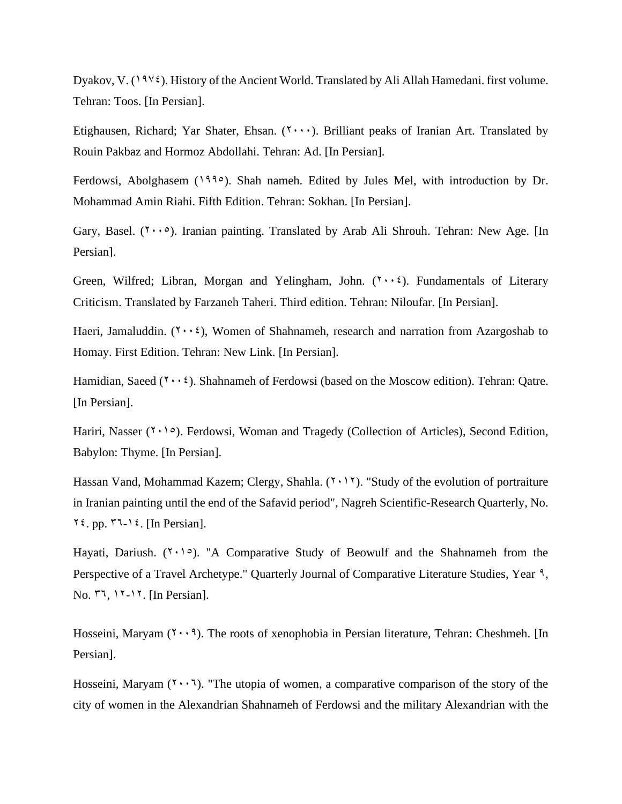Dyakov, V.  $(19\gamma\xi)$ . History of the Ancient World. Translated by Ali Allah Hamedani. first volume. Tehran: Toos. [In Persian].

Etighausen, Richard; Yar Shater, Ehsan.  $(1, \ldots)$ . Brilliant peaks of Iranian Art. Translated by Rouin Pakbaz and Hormoz Abdollahi. Tehran: Ad. [In Persian].

Ferdowsi, Abolghasem (1990). Shah nameh. Edited by Jules Mel, with introduction by Dr. Mohammad Amin Riahi. Fifth Edition. Tehran: Sokhan. [In Persian].

Gary, Basel.  $(1 \cdot \cdot \circ)$ . Iranian painting. Translated by Arab Ali Shrouh. Tehran: New Age. [In Persian].

Green, Wilfred; Libran, Morgan and Yelingham, John.  $(1 \cdot \cdot \cdot)$ . Fundamentals of Literary Criticism. Translated by Farzaneh Taheri. Third edition. Tehran: Niloufar. [In Persian].

Haeri, Jamaluddin.  $(7 \cdot \cdot 2)$ , Women of Shahnameh, research and narration from Azargoshab to Homay. First Edition. Tehran: New Link. [In Persian].

Hamidian, Saeed  $(Y \cdot Y)$ . Shahnameh of Ferdowsi (based on the Moscow edition). Tehran: Qatre. [In Persian].

Hariri, Nasser  $(1 \cdot 1)$ . Ferdowsi, Woman and Tragedy (Collection of Articles), Second Edition, Babylon: Thyme. [In Persian].

Hassan Vand, Mohammad Kazem; Clergy, Shahla.  $(7 \cdot 17)$ . "Study of the evolution of portraiture in Iranian painting until the end of the Safavid period", Nagreh Scientific-Research Quarterly, No.  $\forall \xi$ , pp.  $\forall \exists \neg \xi$ . [In Persian].

Hayati, Dariush.  $(7 \cdot 1)$ . "A Comparative Study of Beowulf and the Shahnameh from the Perspective of a Travel Archetype." Quarterly Journal of Comparative Literature Studies, Year 9,  $\text{No. } 77, 17-17.$  [In Persian].

Hosseini, Maryam  $(Y \cdot \cdot 3)$ . The roots of xenophobia in Persian literature, Tehran: Cheshmeh. [In Persian].

Hosseini, Maryam  $(Y \cdot Y)$ . "The utopia of women, a comparative comparison of the story of the city of women in the Alexandrian Shahnameh of Ferdowsi and the military Alexandrian with the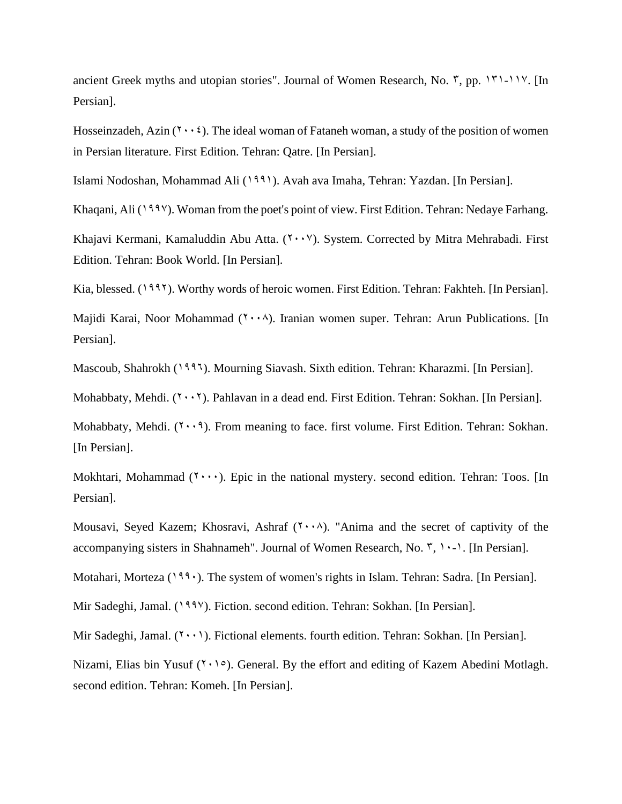ancient Greek myths and utopian stories". Journal of Women Research, No.  $\bar{y}$ , pp. 151-117. [In Persian].

Hosseinzadeh, Azin  $(7 \cdot \cdot 2)$ . The ideal woman of Fataneh woman, a study of the position of women in Persian literature. First Edition. Tehran: Qatre. [In Persian].

Islami Nodoshan, Mohammad Ali (1991). Avah ava Imaha, Tehran: Yazdan. [In Persian].

Khaqani, Ali (1998). Woman from the poet's point of view. First Edition. Tehran: Nedaye Farhang.

Khajavi Kermani, Kamaluddin Abu Atta.  $(Y \cdot Y)$ . System. Corrected by Mitra Mehrabadi. First Edition. Tehran: Book World. [In Persian].

Kia, blessed. (1997). Worthy words of heroic women. First Edition. Tehran: Fakhteh. [In Persian].

Majidi Karai, Noor Mohammad  $(1 \cdot \cdot \wedge)$ . Iranian women super. Tehran: Arun Publications. [In Persian].

Mascoub, Shahrokh (1996). Mourning Siavash. Sixth edition. Tehran: Kharazmi. [In Persian].

Mohabbaty, Mehdi.  $(7 \cdot 7)$ . Pahlavan in a dead end. First Edition. Tehran: Sokhan. [In Persian].

Mohabbaty, Mehdi.  $(1 \cdot \cdot 1)$ . From meaning to face. first volume. First Edition. Tehran: Sokhan. [In Persian].

Mokhtari, Mohammad  $(Y \cdot \cdot \cdot)$ . Epic in the national mystery. second edition. Tehran: Toos. [In Persian].

Mousavi, Seyed Kazem; Khosravi, Ashraf  $(Y \cdot \cdot \wedge)$ . "Anima and the secret of captivity of the accompanying sisters in Shahnameh". Journal of Women Research, No.  $\tilde{y}$ ,  $\cdots$ . [In Persian].

Motahari, Morteza (1990). The system of women's rights in Islam. Tehran: Sadra. [In Persian].

Mir Sadeghi, Jamal. (1994). Fiction. second edition. Tehran: Sokhan. [In Persian].

Mir Sadeghi, Jamal.  $(1 \cdot \cdot)$ . Fictional elements. fourth edition. Tehran: Sokhan. [In Persian].

Nizami, Elias bin Yusuf  $(1 \cdot 1)$ . General. By the effort and editing of Kazem Abedini Motlagh. second edition. Tehran: Komeh. [In Persian].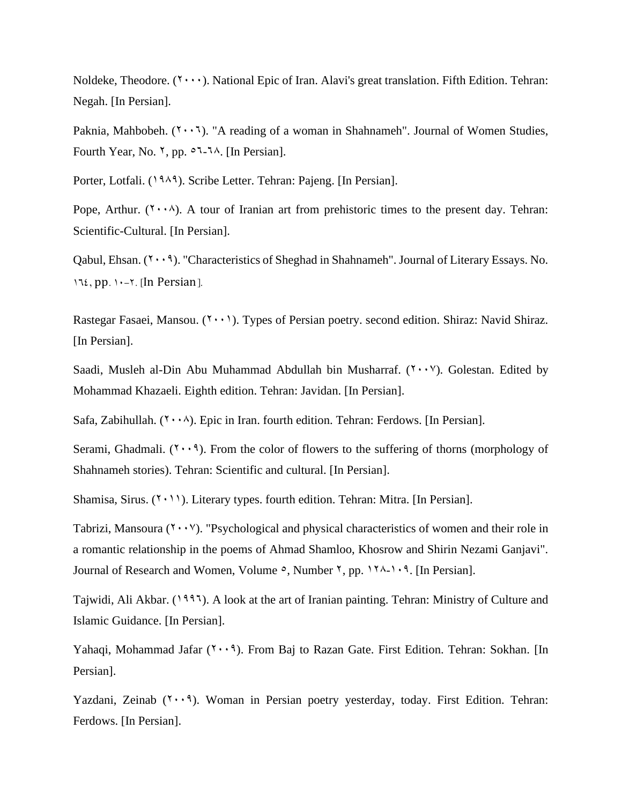Noldeke, Theodore.  $(1, \ldots)$ . National Epic of Iran. Alavi's great translation. Fifth Edition. Tehran: Negah. [In Persian].

Paknia, Mahbobeh.  $(7 \cdot \cdot 7)$ . "A reading of a woman in Shahnameh". Journal of Women Studies, Fourth Year, No.  $\gamma$ , pp.  $\circ$ 7-7 $\land$ . [In Persian].

Porter, Lotfali. (1989). Scribe Letter. Tehran: Pajeng. [In Persian].

Pope, Arthur.  $(1 \cdot \cdot \cdot)$ . A tour of Iranian art from prehistoric times to the present day. Tehran: Scientific-Cultural. [In Persian].

Qabul, Ehsan.  $(1 \cdot \cdot 1)$ . "Characteristics of Sheghad in Shahnameh". Journal of Literary Essays. No.  $154$ , pp.  $1 - 7$ . [In Persian].

Rastegar Fasaei, Mansou.  $(2\cdot\cdot\cdot)$ . Types of Persian poetry. second edition. Shiraz: Navid Shiraz. [In Persian].

Saadi, Musleh al-Din Abu Muhammad Abdullah bin Musharraf.  $(1 \cdot \cdot \cdot)^{V}$ . Golestan. Edited by Mohammad Khazaeli. Eighth edition. Tehran: Javidan. [In Persian].

Safa, Zabihullah.  $(Y \cdot \lambda)$ . Epic in Iran. fourth edition. Tehran: Ferdows. [In Persian].

Serami, Ghadmali.  $(1 \cdot \cdot 1)$ . From the color of flowers to the suffering of thorns (morphology of Shahnameh stories). Tehran: Scientific and cultural. [In Persian].

Shamisa, Sirus.  $(1 \cdot 1)$ . Literary types. fourth edition. Tehran: Mitra. [In Persian].

Tabrizi, Mansoura  $(2 \cdot \cdot \cdot)$ . "Psychological and physical characteristics of women and their role in a romantic relationship in the poems of Ahmad Shamloo, Khosrow and Shirin Nezami Ganjavi". Journal of Research and Women, Volume  $\circ$ , Number  $\check{\ }$ , pp. 174-109. [In Persian].

Tajwidi, Ali Akbar. (1995). A look at the art of Iranian painting. Tehran: Ministry of Culture and Islamic Guidance. [In Persian].

Yahaqi, Mohammad Jafar  $(7 \cdot 9)$ . From Baj to Razan Gate. First Edition. Tehran: Sokhan. [In Persian].

Yazdani, Zeinab  $(1, 1)$ . Woman in Persian poetry yesterday, today. First Edition. Tehran: Ferdows. [In Persian].